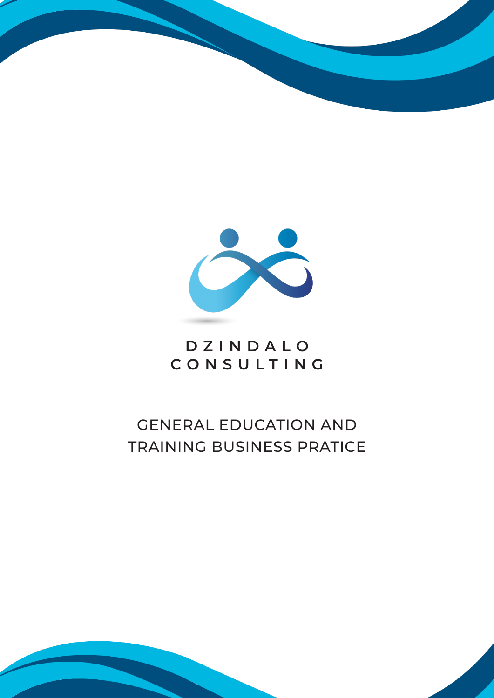



## **DZINDALO CONSULTING**

# GENERAL EDUCATION AND TRAINING BUSINESS PRATICE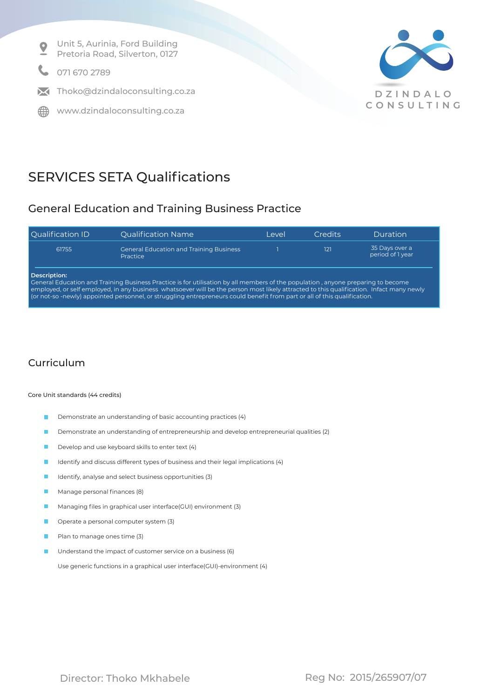Unit 5, Aurinia, Ford Building  $\bullet$ Pretoria Road, Silverton, 0127

071 670 2789

 $\blacksquare$  Thoko@dzindaloconsulting.co.za

**ED** www.dzindaloconsulting.co.za



## SERVICES SETA Qualifications

### General Education and Training Business Practice

| <b>Qualification ID</b>                                                                                                                                                                                                                                                                                                                                                                                                  | <b>Qualification Name</b>                                         | I evel | Credits | Duration                           |
|--------------------------------------------------------------------------------------------------------------------------------------------------------------------------------------------------------------------------------------------------------------------------------------------------------------------------------------------------------------------------------------------------------------------------|-------------------------------------------------------------------|--------|---------|------------------------------------|
| 61755                                                                                                                                                                                                                                                                                                                                                                                                                    | <b>General Education and Training Business</b><br><b>Practice</b> |        | 121     | 35 Days over a<br>period of 1 year |
| Description:<br>General Education and Training Business Practice is for utilisation by all members of the population, anyone preparing to become<br>employed, or self employed, in any business whatsoever will be the person most likely attracted to this qualification. Infact many newly<br>(or not-so-newly) appointed personnel, or struggling entrepreneurs could benefit from part or all of this qualification. |                                                                   |        |         |                                    |

### Curriculum

### Core Unit standards (44 credits)

- Demonstrate an understanding of basic accounting practices (4)  $\blacksquare$
- Demonstrate an understanding of entrepreneurship and develop entrepreneurial qualities (2)  $\blacksquare$
- Develop and use keyboard skills to enter text (4)
- Identify and discuss different types of business and their legal implications (4)
- Identify, analyse and select business opportunities (3)
- $\blacksquare$ Manage personal finances (8)
- Managing files in graphical user interface(GUI) environment (3)
- Operate a personal computer system (3)
- Plan to manage ones time (3)
- Understand the impact of customer service on a business (6)

Use generic functions in a graphical user interface(GUI)-environment (4)